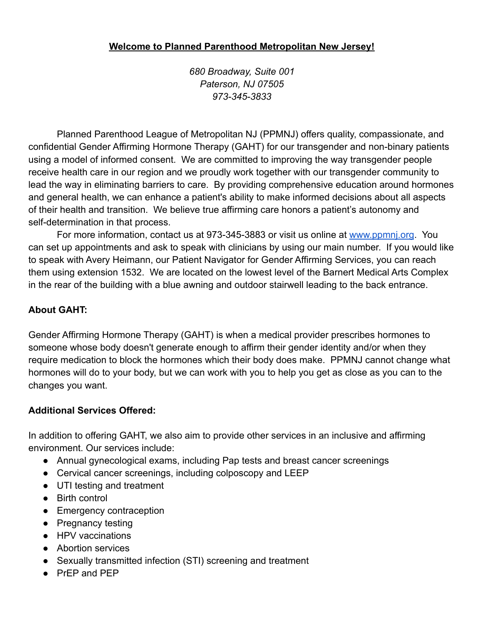#### **Welcome to Planned Parenthood Metropolitan New Jersey!**

*680 Broadway, Suite 001 Paterson, NJ 07505 973-345-3833*

Planned Parenthood League of Metropolitan NJ (PPMNJ) offers quality, compassionate, and confidential Gender Affirming Hormone Therapy (GAHT) for our transgender and non-binary patients using a model of informed consent. We are committed to improving the way transgender people receive health care in our region and we proudly work together with our transgender community to lead the way in eliminating barriers to care. By providing comprehensive education around hormones and general health, we can enhance a patient's ability to make informed decisions about all aspects of their health and transition. We believe true affirming care honors a patient's autonomy and self-determination in that process.

For more information, contact us at 973-345-3883 or visit us online at [www.ppmnj.org](http://www.ppmnj.org/). You can set up appointments and ask to speak with clinicians by using our main number. If you would like to speak with Avery Heimann, our Patient Navigator for Gender Affirming Services, you can reach them using extension 1532. We are located on the lowest level of the Barnert Medical Arts Complex in the rear of the building with a blue awning and outdoor stairwell leading to the back entrance.

## **About GAHT:**

Gender Affirming Hormone Therapy (GAHT) is when a medical provider prescribes hormones to someone whose body doesn't generate enough to affirm their gender identity and/or when they require medication to block the hormones which their body does make. PPMNJ cannot change what hormones will do to your body, but we can work with you to help you get as close as you can to the changes you want.

#### **Additional Services Offered:**

In addition to offering GAHT, we also aim to provide other services in an inclusive and affirming environment. Our services include:

- Annual gynecological exams, including Pap tests and breast cancer screenings
- Cervical cancer screenings, including colposcopy and LEEP
- UTI testing and treatment
- Birth control
- Emergency contraception
- Pregnancy testing
- HPV vaccinations
- Abortion services
- Sexually transmitted infection (STI) screening and treatment
- PrEP and PEP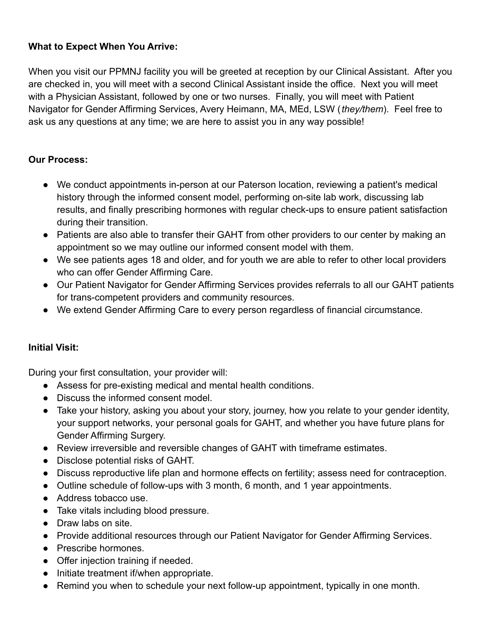## **What to Expect When You Arrive:**

When you visit our PPMNJ facility you will be greeted at reception by our Clinical Assistant. After you are checked in, you will meet with a second Clinical Assistant inside the office. Next you will meet with a Physician Assistant, followed by one or two nurses. Finally, you will meet with Patient Navigator for Gender Affirming Services, Avery Heimann, MA, MEd, LSW (*they/them*). Feel free to ask us any questions at any time; we are here to assist you in any way possible!

#### **Our Process:**

- We conduct appointments in-person at our Paterson location, reviewing a patient's medical history through the informed consent model, performing on-site lab work, discussing lab results, and finally prescribing hormones with regular check-ups to ensure patient satisfaction during their transition.
- Patients are also able to transfer their GAHT from other providers to our center by making an appointment so we may outline our informed consent model with them.
- We see patients ages 18 and older, and for youth we are able to refer to other local providers who can offer Gender Affirming Care.
- Our Patient Navigator for Gender Affirming Services provides referrals to all our GAHT patients for trans-competent providers and community resources.
- We extend Gender Affirming Care to every person regardless of financial circumstance.

#### **Initial Visit:**

During your first consultation, your provider will:

- Assess for pre-existing medical and mental health conditions.
- Discuss the informed consent model.
- Take your history, asking you about your story, journey, how you relate to your gender identity, your support networks, your personal goals for GAHT, and whether you have future plans for Gender Affirming Surgery.
- Review irreversible and reversible changes of GAHT with timeframe estimates.
- Disclose potential risks of GAHT.
- Discuss reproductive life plan and hormone effects on fertility; assess need for contraception.
- Outline schedule of follow-ups with 3 month, 6 month, and 1 year appointments.
- Address tobacco use.
- Take vitals including blood pressure.
- Draw labs on site.
- Provide additional resources through our Patient Navigator for Gender Affirming Services.
- Prescribe hormones.
- Offer injection training if needed.
- Initiate treatment if/when appropriate.
- Remind you when to schedule your next follow-up appointment, typically in one month.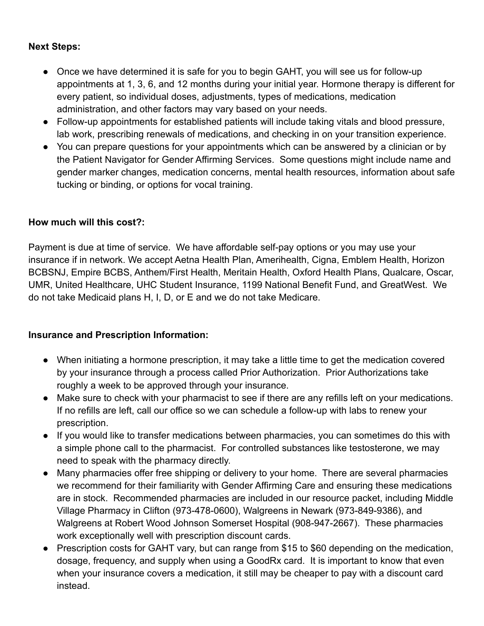#### **Next Steps:**

- Once we have determined it is safe for you to begin GAHT, you will see us for follow-up appointments at 1, 3, 6, and 12 months during your initial year. Hormone therapy is different for every patient, so individual doses, adjustments, types of medications, medication administration, and other factors may vary based on your needs.
- Follow-up appointments for established patients will include taking vitals and blood pressure, lab work, prescribing renewals of medications, and checking in on your transition experience.
- You can prepare questions for your appointments which can be answered by a clinician or by the Patient Navigator for Gender Affirming Services. Some questions might include name and gender marker changes, medication concerns, mental health resources, information about safe tucking or binding, or options for vocal training.

#### **How much will this cost?:**

Payment is due at time of service. We have affordable self-pay options or you may use your insurance if in network. We accept Aetna Health Plan, Amerihealth, Cigna, Emblem Health, Horizon BCBSNJ, Empire BCBS, Anthem/First Health, Meritain Health, Oxford Health Plans, Qualcare, Oscar, UMR, United Healthcare, UHC Student Insurance, 1199 National Benefit Fund, and GreatWest. We do not take Medicaid plans H, I, D, or E and we do not take Medicare.

#### **Insurance and Prescription Information:**

- When initiating a hormone prescription, it may take a little time to get the medication covered by your insurance through a process called Prior Authorization. Prior Authorizations take roughly a week to be approved through your insurance.
- Make sure to check with your pharmacist to see if there are any refills left on your medications. If no refills are left, call our office so we can schedule a follow-up with labs to renew your prescription.
- If you would like to transfer medications between pharmacies, you can sometimes do this with a simple phone call to the pharmacist. For controlled substances like testosterone, we may need to speak with the pharmacy directly.
- Many pharmacies offer free shipping or delivery to your home. There are several pharmacies we recommend for their familiarity with Gender Affirming Care and ensuring these medications are in stock. Recommended pharmacies are included in our resource packet, including Middle Village Pharmacy in Clifton (973-478-0600), Walgreens in Newark (973-849-9386), and Walgreens at Robert Wood Johnson Somerset Hospital (908-947-2667). These pharmacies work exceptionally well with prescription discount cards.
- Prescription costs for GAHT vary, but can range from \$15 to \$60 depending on the medication, dosage, frequency, and supply when using a GoodRx card. It is important to know that even when your insurance covers a medication, it still may be cheaper to pay with a discount card instead.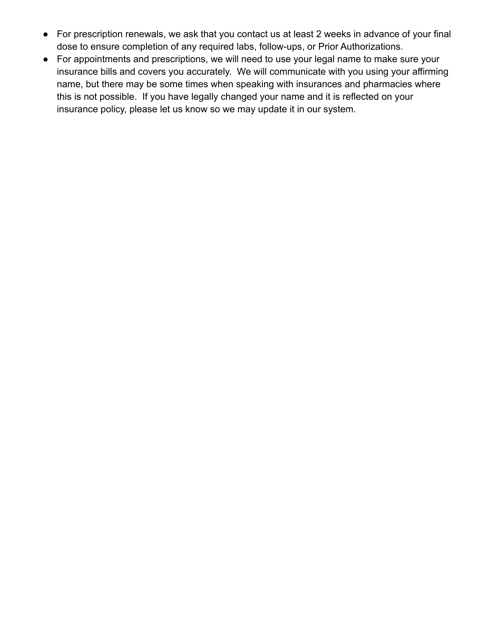- For prescription renewals, we ask that you contact us at least 2 weeks in advance of your final dose to ensure completion of any required labs, follow-ups, or Prior Authorizations.
- For appointments and prescriptions, we will need to use your legal name to make sure your insurance bills and covers you accurately. We will communicate with you using your affirming name, but there may be some times when speaking with insurances and pharmacies where this is not possible. If you have legally changed your name and it is reflected on your insurance policy, please let us know so we may update it in our system.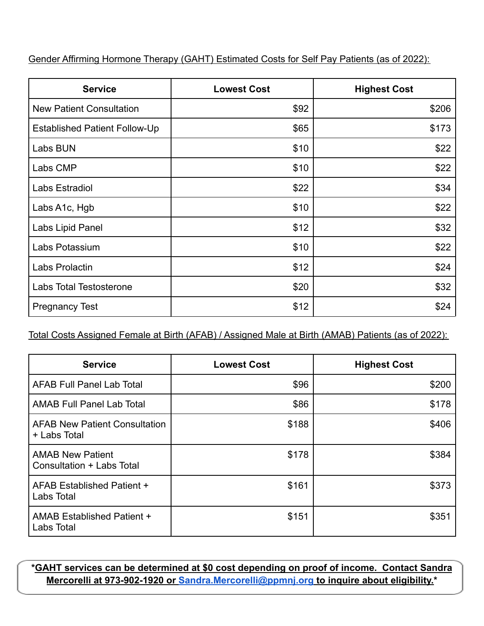Gender Affirming Hormone Therapy (GAHT) Estimated Costs for Self Pay Patients (as of 2022):

| <b>Service</b>                       | <b>Lowest Cost</b> | <b>Highest Cost</b> |
|--------------------------------------|--------------------|---------------------|
| <b>New Patient Consultation</b>      | \$92               | \$206               |
| <b>Established Patient Follow-Up</b> | \$65               | \$173               |
| Labs BUN                             | \$10               | \$22                |
| Labs CMP                             | \$10               | \$22                |
| Labs Estradiol                       | \$22               | \$34                |
| Labs A1c, Hgb                        | \$10               | \$22                |
| Labs Lipid Panel                     | \$12               | \$32                |
| Labs Potassium                       | \$10               | \$22                |
| Labs Prolactin                       | \$12               | \$24                |
| <b>Labs Total Testosterone</b>       | \$20               | \$32                |
| <b>Pregnancy Test</b>                | \$12               | \$24                |

Total Costs Assigned Female at Birth (AFAB) / Assigned Male at Birth (AMAB) Patients (as of 2022):

| <b>Service</b>                                       | <b>Lowest Cost</b> | <b>Highest Cost</b> |
|------------------------------------------------------|--------------------|---------------------|
| <b>AFAB Full Panel Lab Total</b>                     | \$96               | \$200               |
| <b>AMAB Full Panel Lab Total</b>                     | \$86               | \$178               |
| <b>AFAB New Patient Consultation</b><br>+ Labs Total | \$188              | \$406               |
| <b>AMAB New Patient</b><br>Consultation + Labs Total | \$178              | \$384               |
| AFAB Established Patient +<br>Labs Total             | \$161              | \$373               |
| <b>AMAB Established Patient +</b><br>Labs Total      | \$151              | \$351               |

**\*GAHT services can be determined at \$0 cost depending on proof of income. Contact Sandra Mercorelli at 973-902-1920 or [Sandra.Mercorelli@ppmnj.org](mailto:Sandra.Mercorelli@ppmnj.org) to inquire about eligibility.\***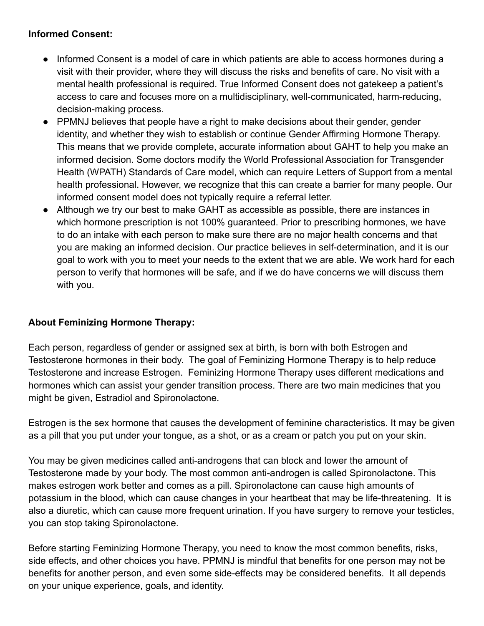#### **Informed Consent:**

- Informed Consent is a model of care in which patients are able to access hormones during a visit with their provider, where they will discuss the risks and benefits of care. No visit with a mental health professional is required. True Informed Consent does not gatekeep a patient's access to care and focuses more on a multidisciplinary, well-communicated, harm-reducing, decision-making process.
- PPMNJ believes that people have a right to make decisions about their gender, gender identity, and whether they wish to establish or continue Gender Affirming Hormone Therapy. This means that we provide complete, accurate information about GAHT to help you make an informed decision. Some doctors modify the World Professional Association for Transgender Health (WPATH) Standards of Care model, which can require Letters of Support from a mental health professional. However, we recognize that this can create a barrier for many people. Our informed consent model does not typically require a referral letter.
- Although we try our best to make GAHT as accessible as possible, there are instances in which hormone prescription is not 100% guaranteed. Prior to prescribing hormones, we have to do an intake with each person to make sure there are no major health concerns and that you are making an informed decision. Our practice believes in self-determination, and it is our goal to work with you to meet your needs to the extent that we are able. We work hard for each person to verify that hormones will be safe, and if we do have concerns we will discuss them with you.

# **About Feminizing Hormone Therapy:**

Each person, regardless of gender or assigned sex at birth, is born with both Estrogen and Testosterone hormones in their body. The goal of Feminizing Hormone Therapy is to help reduce Testosterone and increase Estrogen. Feminizing Hormone Therapy uses different medications and hormones which can assist your gender transition process. There are two main medicines that you might be given, Estradiol and Spironolactone.

Estrogen is the sex hormone that causes the development of feminine characteristics. It may be given as a pill that you put under your tongue, as a shot, or as a cream or patch you put on your skin.

You may be given medicines called anti-androgens that can block and lower the amount of Testosterone made by your body. The most common anti-androgen is called Spironolactone. This makes estrogen work better and comes as a pill. Spironolactone can cause high amounts of potassium in the blood, which can cause changes in your heartbeat that may be life-threatening. It is also a diuretic, which can cause more frequent urination. If you have surgery to remove your testicles, you can stop taking Spironolactone.

Before starting Feminizing Hormone Therapy, you need to know the most common benefits, risks, side effects, and other choices you have. PPMNJ is mindful that benefits for one person may not be benefits for another person, and even some side-effects may be considered benefits. It all depends on your unique experience, goals, and identity.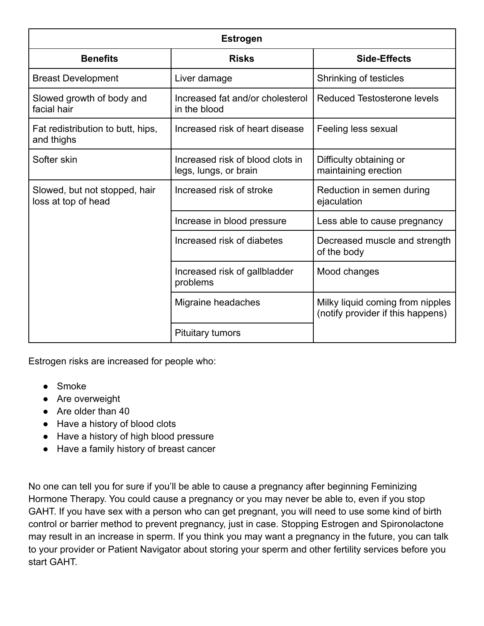| <b>Estrogen</b>                                      |                                                           |                                                                       |  |
|------------------------------------------------------|-----------------------------------------------------------|-----------------------------------------------------------------------|--|
| <b>Benefits</b>                                      | <b>Risks</b>                                              | Side-Effects                                                          |  |
| <b>Breast Development</b>                            | Liver damage                                              | Shrinking of testicles                                                |  |
| Slowed growth of body and<br>facial hair             | Increased fat and/or cholesterol<br>in the blood          | <b>Reduced Testosterone levels</b>                                    |  |
| Fat redistribution to butt, hips,<br>and thighs      | Increased risk of heart disease<br>Feeling less sexual    |                                                                       |  |
| Softer skin                                          | Increased risk of blood clots in<br>legs, lungs, or brain | Difficulty obtaining or<br>maintaining erection                       |  |
| Slowed, but not stopped, hair<br>loss at top of head | Increased risk of stroke                                  | Reduction in semen during<br>ejaculation                              |  |
|                                                      | Increase in blood pressure                                | Less able to cause pregnancy                                          |  |
|                                                      | Increased risk of diabetes                                | Decreased muscle and strength<br>of the body                          |  |
|                                                      | Increased risk of gallbladder<br>problems                 | Mood changes                                                          |  |
|                                                      | Migraine headaches                                        | Milky liquid coming from nipples<br>(notify provider if this happens) |  |
|                                                      | <b>Pituitary tumors</b>                                   |                                                                       |  |

Estrogen risks are increased for people who:

- Smoke
- Are overweight
- Are older than 40
- Have a history of blood clots
- Have a history of high blood pressure
- Have a family history of breast cancer

No one can tell you for sure if you'll be able to cause a pregnancy after beginning Feminizing Hormone Therapy. You could cause a pregnancy or you may never be able to, even if you stop GAHT. If you have sex with a person who can get pregnant, you will need to use some kind of birth control or barrier method to prevent pregnancy, just in case. Stopping Estrogen and Spironolactone may result in an increase in sperm. If you think you may want a pregnancy in the future, you can talk to your provider or Patient Navigator about storing your sperm and other fertility services before you start GAHT.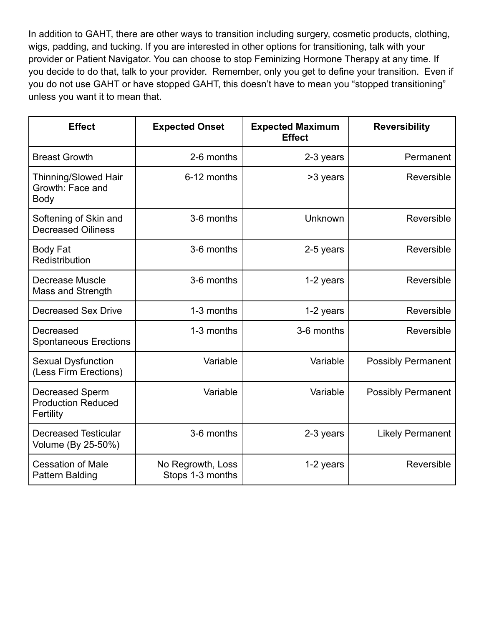In addition to GAHT, there are other ways to transition including surgery, cosmetic products, clothing, wigs, padding, and tucking. If you are interested in other options for transitioning, talk with your provider or Patient Navigator. You can choose to stop Feminizing Hormone Therapy at any time. If you decide to do that, talk to your provider. Remember, only you get to define your transition. Even if you do not use GAHT or have stopped GAHT, this doesn't have to mean you "stopped transitioning" unless you want it to mean that.

| <b>Effect</b>                                             | <b>Expected Onset</b>                 | <b>Expected Maximum</b><br><b>Effect</b> | <b>Reversibility</b>      |
|-----------------------------------------------------------|---------------------------------------|------------------------------------------|---------------------------|
| <b>Breast Growth</b>                                      | 2-6 months                            | 2-3 years                                | Permanent                 |
| Thinning/Slowed Hair<br>Growth: Face and<br><b>Body</b>   | 6-12 months                           | >3 years                                 | Reversible                |
| Softening of Skin and<br><b>Decreased Oiliness</b>        | 3-6 months                            | Unknown                                  | Reversible                |
| <b>Body Fat</b><br>Redistribution                         | 3-6 months                            | 2-5 years                                | Reversible                |
| Decrease Muscle<br>Mass and Strength                      | 3-6 months                            | 1-2 years                                | Reversible                |
| <b>Decreased Sex Drive</b>                                | 1-3 months                            | 1-2 years                                | Reversible                |
| Decreased<br><b>Spontaneous Erections</b>                 | 1-3 months                            | 3-6 months                               | Reversible                |
| <b>Sexual Dysfunction</b><br>(Less Firm Erections)        | Variable                              | Variable                                 | <b>Possibly Permanent</b> |
| Decreased Sperm<br><b>Production Reduced</b><br>Fertility | Variable                              | Variable                                 | <b>Possibly Permanent</b> |
| <b>Decreased Testicular</b><br>Volume (By 25-50%)         | 3-6 months                            | 2-3 years                                | <b>Likely Permanent</b>   |
| <b>Cessation of Male</b><br><b>Pattern Balding</b>        | No Regrowth, Loss<br>Stops 1-3 months | 1-2 years                                | Reversible                |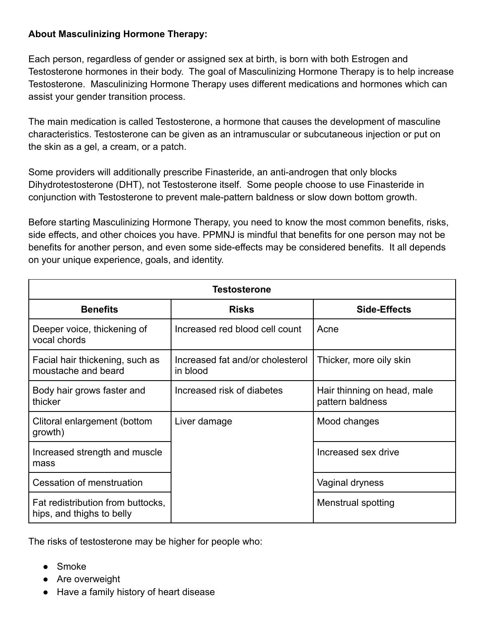#### **About Masculinizing Hormone Therapy:**

Each person, regardless of gender or assigned sex at birth, is born with both Estrogen and Testosterone hormones in their body. The goal of Masculinizing Hormone Therapy is to help increase Testosterone. Masculinizing Hormone Therapy uses different medications and hormones which can assist your gender transition process.

The main medication is called Testosterone, a hormone that causes the development of masculine characteristics. Testosterone can be given as an intramuscular or subcutaneous injection or put on the skin as a gel, a cream, or a patch.

Some providers will additionally prescribe Finasteride, an anti-androgen that only blocks Dihydrotestosterone (DHT), not Testosterone itself. Some people choose to use Finasteride in conjunction with Testosterone to prevent male-pattern baldness or slow down bottom growth.

Before starting Masculinizing Hormone Therapy, you need to know the most common benefits, risks, side effects, and other choices you have. PPMNJ is mindful that benefits for one person may not be benefits for another person, and even some side-effects may be considered benefits. It all depends on your unique experience, goals, and identity.

| <b>Testosterone</b>                                            |                                              |                                                 |  |
|----------------------------------------------------------------|----------------------------------------------|-------------------------------------------------|--|
| <b>Benefits</b>                                                | <b>Risks</b>                                 | Side-Effects                                    |  |
| Deeper voice, thickening of<br>vocal chords                    | Increased red blood cell count               | Acne                                            |  |
| Facial hair thickening, such as<br>moustache and beard         | Increased fat and/or cholesterol<br>in blood | Thicker, more oily skin                         |  |
| Body hair grows faster and<br>thicker                          | Increased risk of diabetes                   | Hair thinning on head, male<br>pattern baldness |  |
| Clitoral enlargement (bottom<br>growth)                        | Liver damage                                 | Mood changes                                    |  |
| Increased strength and muscle<br>mass                          |                                              | Increased sex drive                             |  |
| Cessation of menstruation                                      |                                              | Vaginal dryness                                 |  |
| Fat redistribution from buttocks,<br>hips, and thighs to belly |                                              | Menstrual spotting                              |  |

The risks of testosterone may be higher for people who:

- Smoke
- Are overweight
- Have a family history of heart disease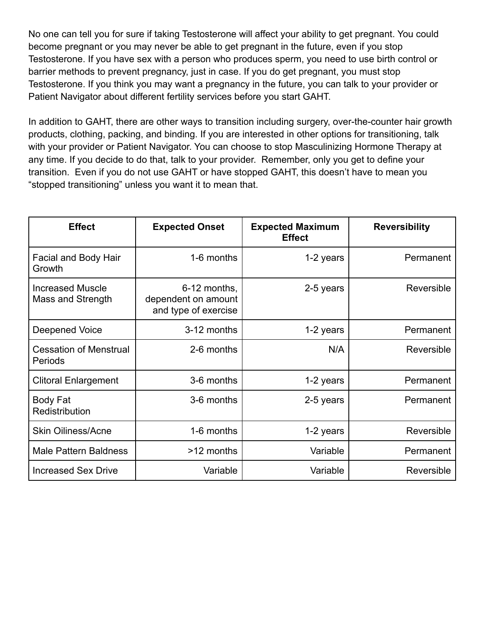No one can tell you for sure if taking Testosterone will affect your ability to get pregnant. You could become pregnant or you may never be able to get pregnant in the future, even if you stop Testosterone. If you have sex with a person who produces sperm, you need to use birth control or barrier methods to prevent pregnancy, just in case. If you do get pregnant, you must stop Testosterone. If you think you may want a pregnancy in the future, you can talk to your provider or Patient Navigator about different fertility services before you start GAHT.

In addition to GAHT, there are other ways to transition including surgery, over-the-counter hair growth products, clothing, packing, and binding. If you are interested in other options for transitioning, talk with your provider or Patient Navigator. You can choose to stop Masculinizing Hormone Therapy at any time. If you decide to do that, talk to your provider. Remember, only you get to define your transition. Even if you do not use GAHT or have stopped GAHT, this doesn't have to mean you "stopped transitioning" unless you want it to mean that.

| <b>Effect</b>                                | <b>Expected Onset</b>                                       | <b>Expected Maximum</b><br><b>Effect</b> | <b>Reversibility</b> |
|----------------------------------------------|-------------------------------------------------------------|------------------------------------------|----------------------|
| <b>Facial and Body Hair</b><br>Growth        | 1-6 months                                                  | 1-2 years                                | Permanent            |
| <b>Increased Muscle</b><br>Mass and Strength | 6-12 months,<br>dependent on amount<br>and type of exercise | 2-5 years                                | Reversible           |
| Deepened Voice                               | 3-12 months                                                 | 1-2 years                                | Permanent            |
| <b>Cessation of Menstrual</b><br>Periods     | 2-6 months                                                  | N/A                                      | Reversible           |
| <b>Clitoral Enlargement</b>                  | 3-6 months                                                  | 1-2 years                                | Permanent            |
| <b>Body Fat</b><br>Redistribution            | 3-6 months                                                  | 2-5 years                                | Permanent            |
| <b>Skin Oiliness/Acne</b>                    | 1-6 months                                                  | 1-2 years                                | Reversible           |
| <b>Male Pattern Baldness</b>                 | >12 months                                                  | Variable                                 | Permanent            |
| <b>Increased Sex Drive</b>                   | Variable                                                    | Variable                                 | Reversible           |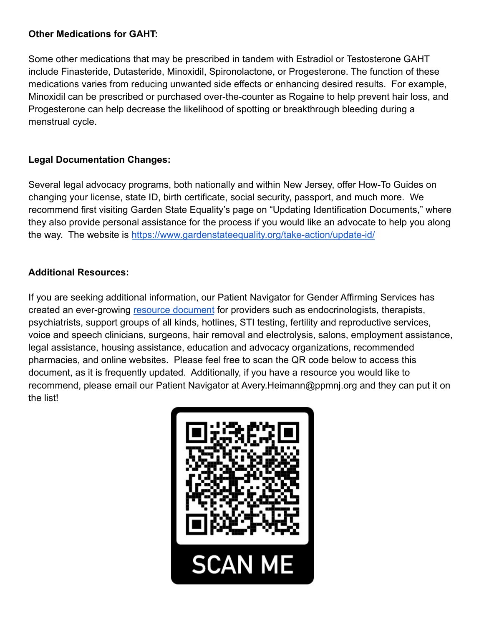## **Other Medications for GAHT:**

Some other medications that may be prescribed in tandem with Estradiol or Testosterone GAHT include Finasteride, Dutasteride, Minoxidil, Spironolactone, or Progesterone. The function of these medications varies from reducing unwanted side effects or enhancing desired results. For example, Minoxidil can be prescribed or purchased over-the-counter as Rogaine to help prevent hair loss, and Progesterone can help decrease the likelihood of spotting or breakthrough bleeding during a menstrual cycle.

# **Legal Documentation Changes:**

Several legal advocacy programs, both nationally and within New Jersey, offer How-To Guides on changing your license, state ID, birth certificate, social security, passport, and much more. We recommend first visiting Garden State Equality's page on "Updating Identification Documents," where they also provide personal assistance for the process if you would like an advocate to help you along the way. The website is <https://www.gardenstateequality.org/take-action/update-id/>

# **Additional Resources:**

If you are seeking additional information, our Patient Navigator for Gender Affirming Services has created an ever-growing [resource document](https://docs.google.com/spreadsheets/d/1SYbWXr5eyC2dGj0pAP0xSPw0R5Qn6A-4m4qKMam_Pdo/edit?usp=sharing) for providers such as endocrinologists, therapists, psychiatrists, support groups of all kinds, hotlines, STI testing, fertility and reproductive services, voice and speech clinicians, surgeons, hair removal and electrolysis, salons, employment assistance, legal assistance, housing assistance, education and advocacy organizations, recommended pharmacies, and online websites. Please feel free to scan the QR code below to access this document, as it is frequently updated. Additionally, if you have a resource you would like to recommend, please email our Patient Navigator at Avery.Heimann@ppmnj.org and they can put it on the list!

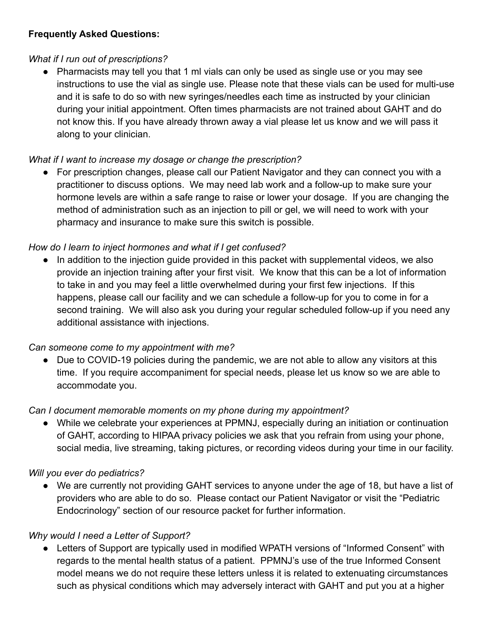# **Frequently Asked Questions:**

## *What if I run out of prescriptions?*

• Pharmacists may tell you that 1 ml vials can only be used as single use or you may see instructions to use the vial as single use. Please note that these vials can be used for multi-use and it is safe to do so with new syringes/needles each time as instructed by your clinician during your initial appointment. Often times pharmacists are not trained about GAHT and do not know this. If you have already thrown away a vial please let us know and we will pass it along to your clinician.

# *What if I want to increase my dosage or change the prescription?*

● For prescription changes, please call our Patient Navigator and they can connect you with a practitioner to discuss options. We may need lab work and a follow-up to make sure your hormone levels are within a safe range to raise or lower your dosage. If you are changing the method of administration such as an injection to pill or gel, we will need to work with your pharmacy and insurance to make sure this switch is possible.

# *How do I learn to inject hormones and what if I get confused?*

In addition to the injection guide provided in this packet with supplemental videos, we also provide an injection training after your first visit. We know that this can be a lot of information to take in and you may feel a little overwhelmed during your first few injections. If this happens, please call our facility and we can schedule a follow-up for you to come in for a second training. We will also ask you during your regular scheduled follow-up if you need any additional assistance with injections.

# *Can someone come to my appointment with me?*

● Due to COVID-19 policies during the pandemic, we are not able to allow any visitors at this time. If you require accompaniment for special needs, please let us know so we are able to accommodate you.

# *Can I document memorable moments on my phone during my appointment?*

● While we celebrate your experiences at PPMNJ, especially during an initiation or continuation of GAHT, according to HIPAA privacy policies we ask that you refrain from using your phone, social media, live streaming, taking pictures, or recording videos during your time in our facility.

# *Will you ever do pediatrics?*

● We are currently not providing GAHT services to anyone under the age of 18, but have a list of providers who are able to do so. Please contact our Patient Navigator or visit the "Pediatric Endocrinology" section of our resource packet for further information.

# *Why would I need a Letter of Support?*

Letters of Support are typically used in modified WPATH versions of "Informed Consent" with regards to the mental health status of a patient. PPMNJ's use of the true Informed Consent model means we do not require these letters unless it is related to extenuating circumstances such as physical conditions which may adversely interact with GAHT and put you at a higher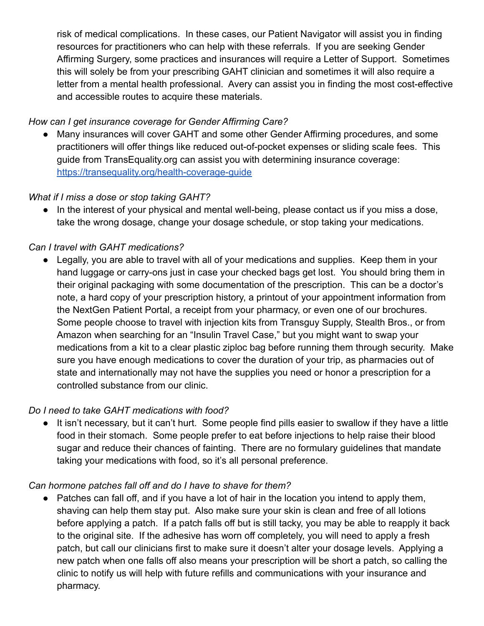risk of medical complications. In these cases, our Patient Navigator will assist you in finding resources for practitioners who can help with these referrals. If you are seeking Gender Affirming Surgery, some practices and insurances will require a Letter of Support. Sometimes this will solely be from your prescribing GAHT clinician and sometimes it will also require a letter from a mental health professional. Avery can assist you in finding the most cost-effective and accessible routes to acquire these materials.

## *How can I get insurance coverage for Gender Affirming Care?*

Many insurances will cover GAHT and some other Gender Affirming procedures, and some practitioners will offer things like reduced out-of-pocket expenses or sliding scale fees. This guide from TransEquality.org can assist you with determining insurance coverage: <https://transequality.org/health-coverage-guide>

#### *What if I miss a dose or stop taking GAHT?*

• In the interest of your physical and mental well-being, please contact us if you miss a dose, take the wrong dosage, change your dosage schedule, or stop taking your medications.

# *Can I travel with GAHT medications?*

Legally, you are able to travel with all of your medications and supplies. Keep them in your hand luggage or carry-ons just in case your checked bags get lost. You should bring them in their original packaging with some documentation of the prescription. This can be a doctor's note, a hard copy of your prescription history, a printout of your appointment information from the NextGen Patient Portal, a receipt from your pharmacy, or even one of our brochures. Some people choose to travel with injection kits from Transguy Supply, Stealth Bros., or from Amazon when searching for an "Insulin Travel Case," but you might want to swap your medications from a kit to a clear plastic ziploc bag before running them through security. Make sure you have enough medications to cover the duration of your trip, as pharmacies out of state and internationally may not have the supplies you need or honor a prescription for a controlled substance from our clinic.

#### *Do I need to take GAHT medications with food?*

● It isn't necessary, but it can't hurt. Some people find pills easier to swallow if they have a little food in their stomach. Some people prefer to eat before injections to help raise their blood sugar and reduce their chances of fainting. There are no formulary guidelines that mandate taking your medications with food, so it's all personal preference.

#### *Can hormone patches fall off and do I have to shave for them?*

• Patches can fall off, and if you have a lot of hair in the location you intend to apply them, shaving can help them stay put. Also make sure your skin is clean and free of all lotions before applying a patch. If a patch falls off but is still tacky, you may be able to reapply it back to the original site. If the adhesive has worn off completely, you will need to apply a fresh patch, but call our clinicians first to make sure it doesn't alter your dosage levels. Applying a new patch when one falls off also means your prescription will be short a patch, so calling the clinic to notify us will help with future refills and communications with your insurance and pharmacy.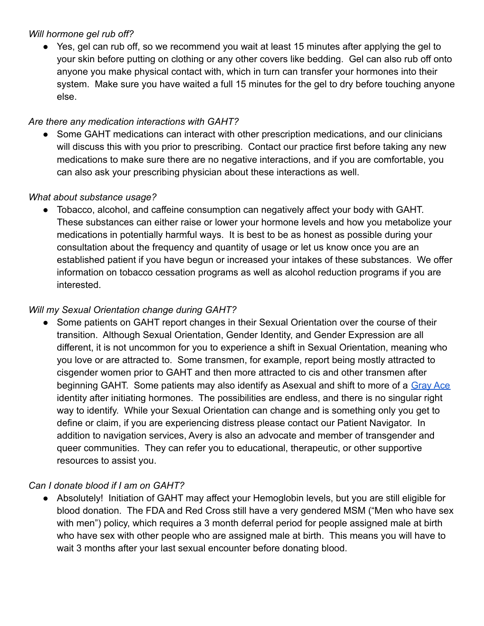#### *Will hormone gel rub off?*

● Yes, gel can rub off, so we recommend you wait at least 15 minutes after applying the gel to your skin before putting on clothing or any other covers like bedding. Gel can also rub off onto anyone you make physical contact with, which in turn can transfer your hormones into their system. Make sure you have waited a full 15 minutes for the gel to dry before touching anyone else.

# *Are there any medication interactions with GAHT?*

Some GAHT medications can interact with other prescription medications, and our clinicians will discuss this with you prior to prescribing. Contact our practice first before taking any new medications to make sure there are no negative interactions, and if you are comfortable, you can also ask your prescribing physician about these interactions as well.

# *What about substance usage?*

● Tobacco, alcohol, and caffeine consumption can negatively affect your body with GAHT. These substances can either raise or lower your hormone levels and how you metabolize your medications in potentially harmful ways. It is best to be as honest as possible during your consultation about the frequency and quantity of usage or let us know once you are an established patient if you have begun or increased your intakes of these substances. We offer information on tobacco cessation programs as well as alcohol reduction programs if you are interested.

# *Will my Sexual Orientation change during GAHT?*

● Some patients on GAHT report changes in their Sexual Orientation over the course of their transition. Although Sexual Orientation, Gender Identity, and Gender Expression are all different, it is not uncommon for you to experience a shift in Sexual Orientation, meaning who you love or are attracted to. Some transmen, for example, report being mostly attracted to cisgender women prior to GAHT and then more attracted to cis and other transmen after beginning GAHT. Some patients may also identify as Asexual and shift to more of a [Gray Ace](https://lgbtqia.fandom.com/wiki/Asexual_spectrum) identity after initiating hormones. The possibilities are endless, and there is no singular right way to identify. While your Sexual Orientation can change and is something only you get to define or claim, if you are experiencing distress please contact our Patient Navigator. In addition to navigation services, Avery is also an advocate and member of transgender and queer communities. They can refer you to educational, therapeutic, or other supportive resources to assist you.

# *Can I donate blood if I am on GAHT?*

● Absolutely! Initiation of GAHT may affect your Hemoglobin levels, but you are still eligible for blood donation. The FDA and Red Cross still have a very gendered MSM ("Men who have sex with men") policy, which requires a 3 month deferral period for people assigned male at birth who have sex with other people who are assigned male at birth. This means you will have to wait 3 months after your last sexual encounter before donating blood.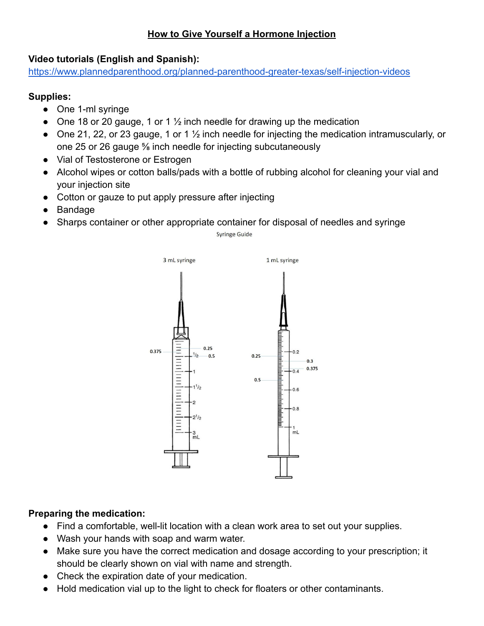# **How to Give Yourself a Hormone Injection**

#### **Video tutorials (English and Spanish):**

<https://www.plannedparenthood.org/planned-parenthood-greater-texas/self-injection-videos>

#### **Supplies:**

- One 1-ml syringe
- One 18 or 20 gauge, 1 or 1  $\frac{1}{2}$  inch needle for drawing up the medication
- One 21, 22, or 23 gauge, 1 or 1 <sup>1</sup>/<sub>2</sub> inch needle for injecting the medication intramuscularly, or one 25 or 26 gauge ⅝ inch needle for injecting subcutaneously
- Vial of Testosterone or Estrogen
- Alcohol wipes or cotton balls/pads with a bottle of rubbing alcohol for cleaning your vial and your injection site
- Cotton or gauze to put apply pressure after injecting
- Bandage
- Sharps container or other appropriate container for disposal of needles and syringe

Syringe Guide



# **Preparing the medication:**

- Find a comfortable, well-lit location with a clean work area to set out your supplies.
- Wash your hands with soap and warm water.
- Make sure you have the correct medication and dosage according to your prescription; it should be clearly shown on vial with name and strength.
- Check the expiration date of your medication.
- Hold medication vial up to the light to check for floaters or other contaminants.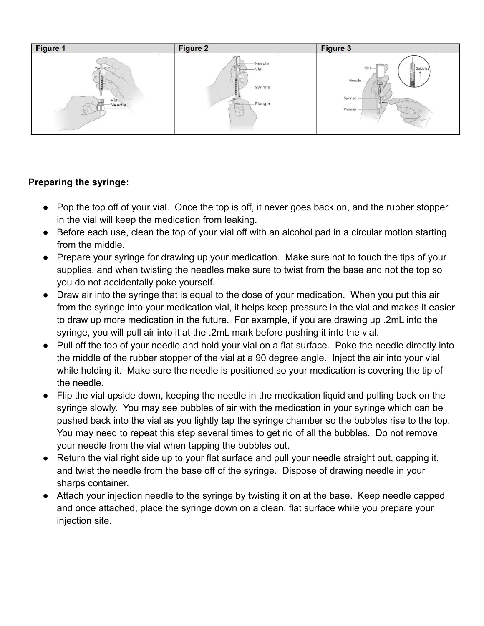

#### **Preparing the syringe:**

- Pop the top off of your vial. Once the top is off, it never goes back on, and the rubber stopper in the vial will keep the medication from leaking.
- Before each use, clean the top of your vial off with an alcohol pad in a circular motion starting from the middle.
- Prepare your syringe for drawing up your medication. Make sure not to touch the tips of your supplies, and when twisting the needles make sure to twist from the base and not the top so you do not accidentally poke yourself.
- Draw air into the syringe that is equal to the dose of your medication. When you put this air from the syringe into your medication vial, it helps keep pressure in the vial and makes it easier to draw up more medication in the future. For example, if you are drawing up .2mL into the syringe, you will pull air into it at the .2mL mark before pushing it into the vial.
- Pull off the top of your needle and hold your vial on a flat surface. Poke the needle directly into the middle of the rubber stopper of the vial at a 90 degree angle. Inject the air into your vial while holding it. Make sure the needle is positioned so your medication is covering the tip of the needle.
- Flip the vial upside down, keeping the needle in the medication liquid and pulling back on the syringe slowly. You may see bubbles of air with the medication in your syringe which can be pushed back into the vial as you lightly tap the syringe chamber so the bubbles rise to the top. You may need to repeat this step several times to get rid of all the bubbles. Do not remove your needle from the vial when tapping the bubbles out.
- Return the vial right side up to your flat surface and pull your needle straight out, capping it, and twist the needle from the base off of the syringe. Dispose of drawing needle in your sharps container.
- Attach your injection needle to the syringe by twisting it on at the base. Keep needle capped and once attached, place the syringe down on a clean, flat surface while you prepare your injection site.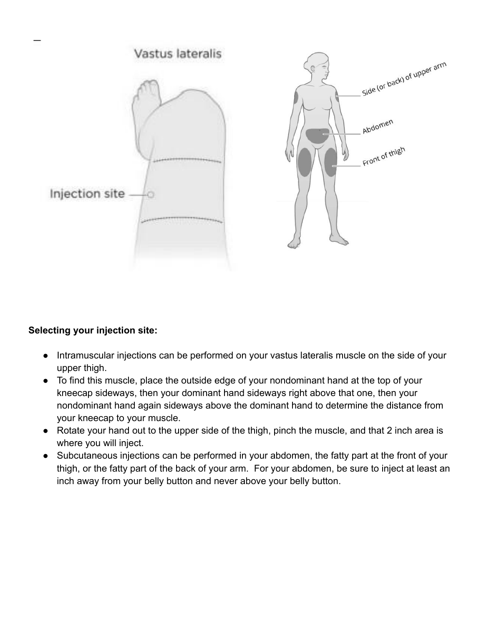

#### **Selecting your injection site:**

- Intramuscular injections can be performed on your vastus lateralis muscle on the side of your upper thigh.
- To find this muscle, place the outside edge of your nondominant hand at the top of your kneecap sideways, then your dominant hand sideways right above that one, then your nondominant hand again sideways above the dominant hand to determine the distance from your kneecap to your muscle.
- Rotate your hand out to the upper side of the thigh, pinch the muscle, and that 2 inch area is where you will inject.
- Subcutaneous injections can be performed in your abdomen, the fatty part at the front of your thigh, or the fatty part of the back of your arm. For your abdomen, be sure to inject at least an inch away from your belly button and never above your belly button.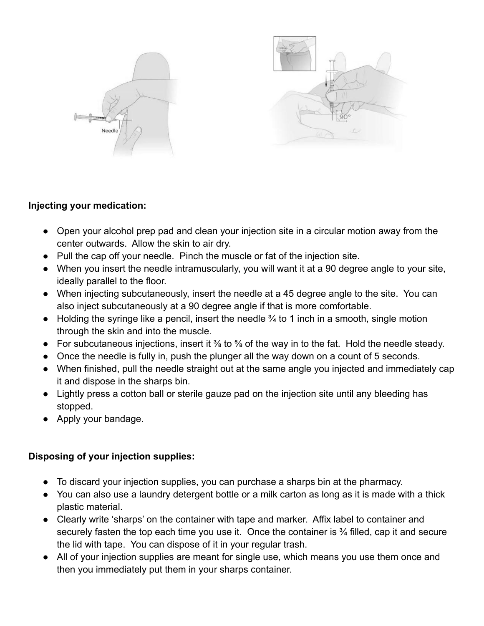

#### **Injecting your medication:**

- Open your alcohol prep pad and clean your injection site in a circular motion away from the center outwards. Allow the skin to air dry.
- Pull the cap off your needle. Pinch the muscle or fat of the injection site.
- When you insert the needle intramuscularly, you will want it at a 90 degree angle to your site, ideally parallel to the floor.
- When injecting subcutaneously, insert the needle at a 45 degree angle to the site. You can also inject subcutaneously at a 90 degree angle if that is more comfortable.
- Holding the syringe like a pencil, insert the needle  $\frac{3}{4}$  to 1 inch in a smooth, single motion through the skin and into the muscle.
- For subcutaneous injections, insert it ⅜ to ⅝ of the way in to the fat. Hold the needle steady.
- Once the needle is fully in, push the plunger all the way down on a count of 5 seconds.
- When finished, pull the needle straight out at the same angle you injected and immediately cap it and dispose in the sharps bin.
- Lightly press a cotton ball or sterile gauze pad on the injection site until any bleeding has stopped.
- Apply your bandage.

# **Disposing of your injection supplies:**

- To discard your injection supplies, you can purchase a sharps bin at the pharmacy.
- You can also use a laundry detergent bottle or a milk carton as long as it is made with a thick plastic material.
- Clearly write 'sharps' on the container with tape and marker. Affix label to container and securely fasten the top each time you use it. Once the container is <sup>3</sup>/<sub>4</sub> filled, cap it and secure the lid with tape. You can dispose of it in your regular trash.
- All of your injection supplies are meant for single use, which means you use them once and then you immediately put them in your sharps container.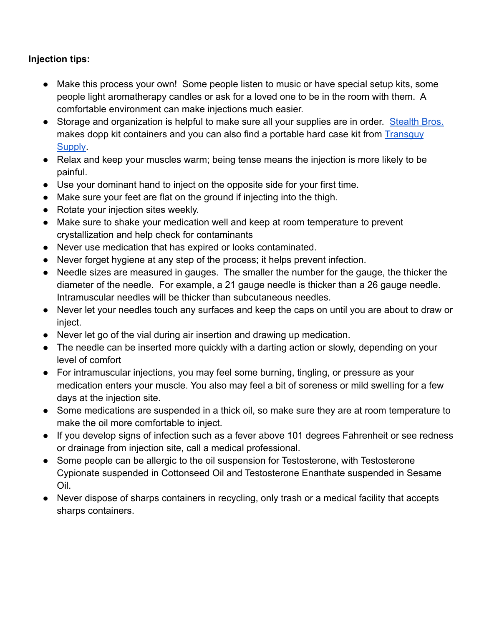# **Injection tips:**

- Make this process your own! Some people listen to music or have special setup kits, some people light aromatherapy candles or ask for a loved one to be in the room with them. A comfortable environment can make injections much easier.
- Storage and organization is helpful to make sure all your supplies are in order. [Stealth Bros.](https://www.stealthbrosco.com/) makes dopp kit containers and you can also find a portable hard case kit from [Transguy](https://transguysupply.com/products/ftm-testosterone-kit) [Supply.](https://transguysupply.com/products/ftm-testosterone-kit)
- Relax and keep your muscles warm; being tense means the injection is more likely to be painful.
- Use your dominant hand to inject on the opposite side for your first time.
- Make sure your feet are flat on the ground if injecting into the thigh.
- Rotate your injection sites weekly.
- Make sure to shake your medication well and keep at room temperature to prevent crystallization and help check for contaminants
- Never use medication that has expired or looks contaminated.
- Never forget hygiene at any step of the process; it helps prevent infection.
- Needle sizes are measured in gauges. The smaller the number for the gauge, the thicker the diameter of the needle. For example, a 21 gauge needle is thicker than a 26 gauge needle. Intramuscular needles will be thicker than subcutaneous needles.
- Never let your needles touch any surfaces and keep the caps on until you are about to draw or inject.
- Never let go of the vial during air insertion and drawing up medication.
- The needle can be inserted more quickly with a darting action or slowly, depending on your level of comfort
- For intramuscular injections, you may feel some burning, tingling, or pressure as your medication enters your muscle. You also may feel a bit of soreness or mild swelling for a few days at the injection site.
- Some medications are suspended in a thick oil, so make sure they are at room temperature to make the oil more comfortable to inject.
- If you develop signs of infection such as a fever above 101 degrees Fahrenheit or see redness or drainage from injection site, call a medical professional.
- Some people can be allergic to the oil suspension for Testosterone, with Testosterone Cypionate suspended in Cottonseed Oil and Testosterone Enanthate suspended in Sesame Oil.
- Never dispose of sharps containers in recycling, only trash or a medical facility that accepts sharps containers.